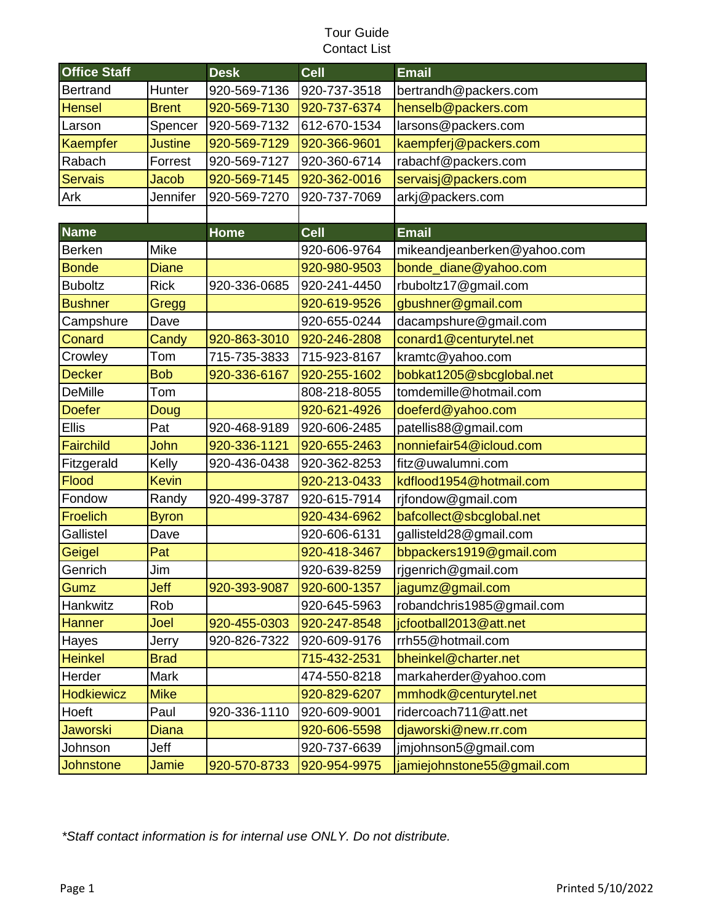## Tour Guide Contact List

| <b>Office Staff</b> |                | <b>Desk</b>  | <b>Cell</b>  | <b>Email</b>                |
|---------------------|----------------|--------------|--------------|-----------------------------|
| <b>Bertrand</b>     | Hunter         | 920-569-7136 | 920-737-3518 | bertrandh@packers.com       |
| <b>Hensel</b>       | <b>Brent</b>   | 920-569-7130 | 920-737-6374 | henselb@packers.com         |
| Larson              | Spencer        | 920-569-7132 | 612-670-1534 | larsons@packers.com         |
| Kaempfer            | <b>Justine</b> | 920-569-7129 | 920-366-9601 | kaempferj@packers.com       |
| Rabach              | Forrest        | 920-569-7127 | 920-360-6714 | rabachf@packers.com         |
| <b>Servais</b>      | <b>Jacob</b>   | 920-569-7145 | 920-362-0016 | servaisj@packers.com        |
| Ark                 | Jennifer       | 920-569-7270 | 920-737-7069 | arkj@packers.com            |
|                     |                |              |              |                             |
| <b>Name</b>         |                | <b>Home</b>  | <b>Cell</b>  | <b>Email</b>                |
| <b>Berken</b>       | <b>Mike</b>    |              | 920-606-9764 | mikeandjeanberken@yahoo.com |
| <b>Bonde</b>        | <b>Diane</b>   |              | 920-980-9503 | bonde_diane@yahoo.com       |
| <b>Buboltz</b>      | <b>Rick</b>    | 920-336-0685 | 920-241-4450 | rbuboltz17@gmail.com        |
| <b>Bushner</b>      | Gregg          |              | 920-619-9526 | gbushner@gmail.com          |
| Campshure           | Dave           |              | 920-655-0244 | dacampshure@gmail.com       |
| Conard              | Candy          | 920-863-3010 | 920-246-2808 | conard1@centurytel.net      |
| Crowley             | Tom            | 715-735-3833 | 715-923-8167 | kramtc@yahoo.com            |
| <b>Decker</b>       | <b>Bob</b>     | 920-336-6167 | 920-255-1602 | bobkat1205@sbcglobal.net    |
| <b>DeMille</b>      | Tom            |              | 808-218-8055 | tomdemille@hotmail.com      |
| <b>Doefer</b>       | <b>Doug</b>    |              | 920-621-4926 | doeferd@yahoo.com           |
| <b>Ellis</b>        | Pat            | 920-468-9189 | 920-606-2485 | patellis88@gmail.com        |
| Fairchild           | John           | 920-336-1121 | 920-655-2463 | nonniefair54@icloud.com     |
| Fitzgerald          | Kelly          | 920-436-0438 | 920-362-8253 | fitz@uwalumni.com           |
| <b>Flood</b>        | <b>Kevin</b>   |              | 920-213-0433 | kdflood1954@hotmail.com     |
| Fondow              | Randy          | 920-499-3787 | 920-615-7914 | rjfondow@gmail.com          |
| <b>Froelich</b>     | <b>Byron</b>   |              | 920-434-6962 | bafcollect@sbcglobal.net    |
| Gallistel           | Dave           |              | 920-606-6131 | gallisteld28@gmail.com      |
| Geigel              | Pat            |              | 920-418-3467 | bbpackers1919@gmail.com     |
| Genrich             | Jim            |              | 920-639-8259 | rjgenrich@gmail.com         |
| Gumz                | Jeff           | 920-393-9087 | 920-600-1357 | jagumz@gmail.com            |
| Hankwitz            | Rob            |              | 920-645-5963 | robandchris1985@gmail.com   |
| <b>Hanner</b>       | Joel           | 920-455-0303 | 920-247-8548 | jcfootball2013@att.net      |
| Hayes               | Jerry          | 920-826-7322 | 920-609-9176 | rrh55@hotmail.com           |
| <b>Heinkel</b>      | <b>Brad</b>    |              | 715-432-2531 | bheinkel@charter.net        |
| Herder              | <b>Mark</b>    |              | 474-550-8218 | markaherder@yahoo.com       |
| Hodkiewicz          | <b>Mike</b>    |              | 920-829-6207 | mmhodk@centurytel.net       |
| Hoeft               | Paul           | 920-336-1110 | 920-609-9001 | ridercoach711@att.net       |
| <b>Jaworski</b>     | <b>Diana</b>   |              | 920-606-5598 | djaworski@new.rr.com        |
| Johnson             | Jeff           |              | 920-737-6639 | jmjohnson5@gmail.com        |
| <b>Johnstone</b>    | Jamie          | 920-570-8733 | 920-954-9975 | jamiejohnstone55@gmail.com  |

*\*Staff contact information is for internal use ONLY. Do not distribute.*